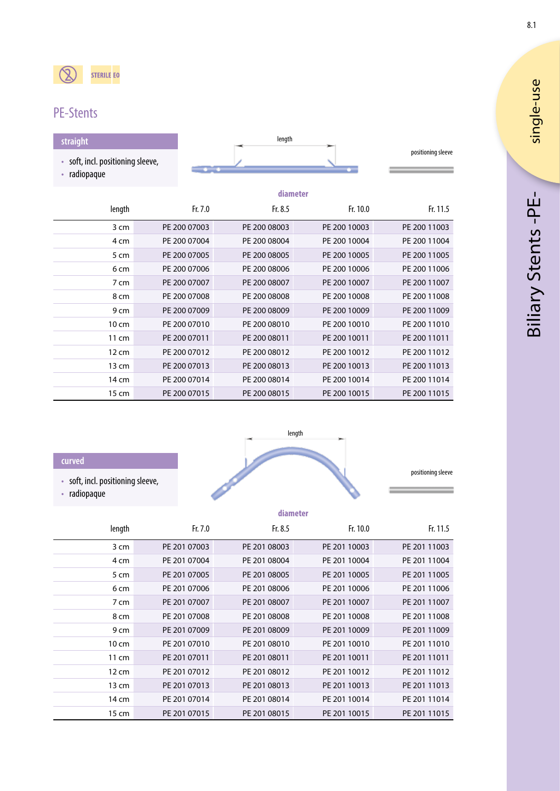# PE-Stents

| straight                                                        |         | length   |          |                    |
|-----------------------------------------------------------------|---------|----------|----------|--------------------|
| soft, incl. positioning sleeve,<br>$\bullet$<br>radiopaque<br>٠ |         |          |          | positioning sleeve |
|                                                                 |         | diameter |          |                    |
| length                                                          | Fr. 7.0 | Fr. 8.5  | Fr. 10.0 | Fr. 11.5           |

| nungun | .            | .            | <b></b>      | .            |
|--------|--------------|--------------|--------------|--------------|
| 3 cm   | PE 200 07003 | PE 200 08003 | PE 200 10003 | PE 200 11003 |
| 4 cm   | PE 200 07004 | PE 200 08004 | PE 200 10004 | PE 200 11004 |
| 5 cm   | PE 200 07005 | PE 200 08005 | PE 200 10005 | PE 200 11005 |
| 6 cm   | PE 200 07006 | PE 200 08006 | PE 200 10006 | PE 200 11006 |
| 7 cm   | PE 200 07007 | PE 200 08007 | PE 200 10007 | PE 200 11007 |
| 8 cm   | PE 200 07008 | PE 200 08008 | PE 200 10008 | PE 200 11008 |
| 9 cm   | PE 200 07009 | PE 200 08009 | PE 200 10009 | PE 200 11009 |
| 10 cm  | PE 200 07010 | PE 200 08010 | PE 200 10010 | PE 200 11010 |
| 11 cm  | PE 200 07011 | PE 200 08011 | PE 200 10011 | PE 200 11011 |
| 12 cm  | PE 200 07012 | PE 200 08012 | PE 200 10012 | PE 200 11012 |
| 13 cm  | PE 200 07013 | PE 200 08013 | PE 200 10013 | PE 200 11013 |
| 14 cm  | PE 200 07014 | PE 200 08014 | PE 200 10014 | PE 200 11014 |
| 15 cm  | PE 200 07015 | PE 200 08015 | PE 200 10015 | PE 200 11015 |

#### **curved**

÷ j.

- soft, incl. positioning sleeve,
- radiopaque



|                 | diameter     |              |              |              |
|-----------------|--------------|--------------|--------------|--------------|
| length          | Fr. 7.0      | Fr. 8.5      | Fr. 10.0     | Fr. 11.5     |
| 3 cm            | PE 201 07003 | PE 201 08003 | PE 201 10003 | PE 201 11003 |
| 4 cm            | PE 201 07004 | PE 201 08004 | PE 201 10004 | PE 201 11004 |
| 5 cm            | PE 201 07005 | PE 201 08005 | PE 201 10005 | PE 201 11005 |
| 6 cm            | PE 201 07006 | PE 201 08006 | PE 201 10006 | PE 201 11006 |
| 7 cm            | PE 201 07007 | PE 201 08007 | PE 201 10007 | PE 201 11007 |
| 8 cm            | PE 201 07008 | PE 201 08008 | PE 201 10008 | PE 201 11008 |
| 9 cm            | PE 201 07009 | PE 201 08009 | PE 201 10009 | PE 201 11009 |
| $10 \text{ cm}$ | PE 201 07010 | PE 201 08010 | PE 201 10010 | PE 201 11010 |
| 11 cm           | PE 201 07011 | PE 201 08011 | PE 201 10011 | PE 201 11011 |
| $12 \text{ cm}$ | PE 201 07012 | PE 201 08012 | PE 201 10012 | PE 201 11012 |
| 13 cm           | PE 201 07013 | PE 201 08013 | PE 201 10013 | PE 201 11013 |
| 14 cm           | PE 201 07014 | PE 201 08014 | PE 201 10014 | PE 201 11014 |
| 15 cm           | PE 201 07015 | PE 201 08015 | PE 201 10015 | PE 201 11015 |

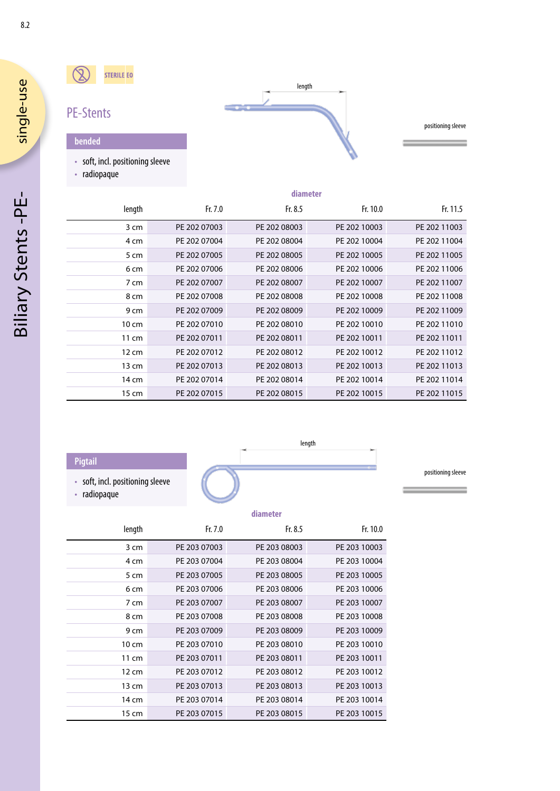#### $\circledR$ STERILE EO



positioning sleeve

**bended**

PE-Stents

• soft, incl. positioning sleeve

• radiopaque

|                 | diameter     |              |              |              |
|-----------------|--------------|--------------|--------------|--------------|
| length          | Fr. 7.0      | Fr. $8.5$    | Fr. 10.0     | Fr. 11.5     |
| 3 cm            | PE 202 07003 | PE 202 08003 | PE 202 10003 | PE 202 11003 |
| 4 cm            | PE 202 07004 | PE 202 08004 | PE 202 10004 | PE 202 11004 |
| 5 cm            | PE 202 07005 | PE 202 08005 | PE 202 10005 | PE 202 11005 |
| 6 cm            | PE 202 07006 | PE 202 08006 | PE 202 10006 | PE 202 11006 |
| 7 cm            | PE 202 07007 | PE 202 08007 | PE 202 10007 | PE 202 11007 |
| 8 cm            | PE 202 07008 | PE 202 08008 | PE 202 10008 | PE 202 11008 |
| 9 cm            | PE 202 07009 | PE 202 08009 | PE 202 10009 | PE 202 11009 |
| $10 \text{ cm}$ | PE 202 07010 | PE 202 08010 | PE 202 10010 | PE 202 11010 |
| 11 cm           | PE 202 07011 | PE 202 08011 | PE 202 10011 | PE 202 11011 |
| $12 \text{ cm}$ | PE 202 07012 | PE 202 08012 | PE 202 10012 | PE 202 11012 |
| 13 cm           | PE 202 07013 | PE 202 08013 | PE 202 10013 | PE 202 11013 |
| 14 cm           | PE 202 07014 | PE 202 08014 | PE 202 10014 | PE 202 11014 |
| 15 cm           | PE 202 07015 | PE 202 08015 | PE 202 10015 | PE 202 11015 |

### **Pigtail**

- soft, incl. positioning sleeve
- radiopaque



positioning sleeve

|                 | diameter     |              |              |  |
|-----------------|--------------|--------------|--------------|--|
| length          | Fr. 7.0      | Fr. $8.5$    | Fr. 10.0     |  |
| 3 cm            | PE 203 07003 | PE 203 08003 | PE 203 10003 |  |
| 4 cm            | PE 203 07004 | PE 203 08004 | PE 203 10004 |  |
| 5 cm            | PE 203 07005 | PE 203 08005 | PE 203 10005 |  |
| 6 cm            | PE 203 07006 | PE 203 08006 | PE 203 10006 |  |
| 7 cm            | PE 203 07007 | PE 203 08007 | PE 203 10007 |  |
| 8 cm            | PE 203 07008 | PE 203 08008 | PE 203 10008 |  |
| 9 cm            | PE 203 07009 | PE 203 08009 | PE 203 10009 |  |
| $10 \text{ cm}$ | PE 203 07010 | PE 203 08010 | PE 203 10010 |  |
| 11 cm           | PE 203 07011 | PE 203 08011 | PE 203 10011 |  |
| $12 \text{ cm}$ | PE 203 07012 | PE 203 08012 | PE 203 10012 |  |
| 13 cm           | PE 203 07013 | PE 203 08013 | PE 203 10013 |  |
| 14 cm           | PE 203 07014 | PE 203 08014 | PE 203 10014 |  |
| 15 cm           | PE 203 07015 | PE 203 08015 | PE 203 10015 |  |